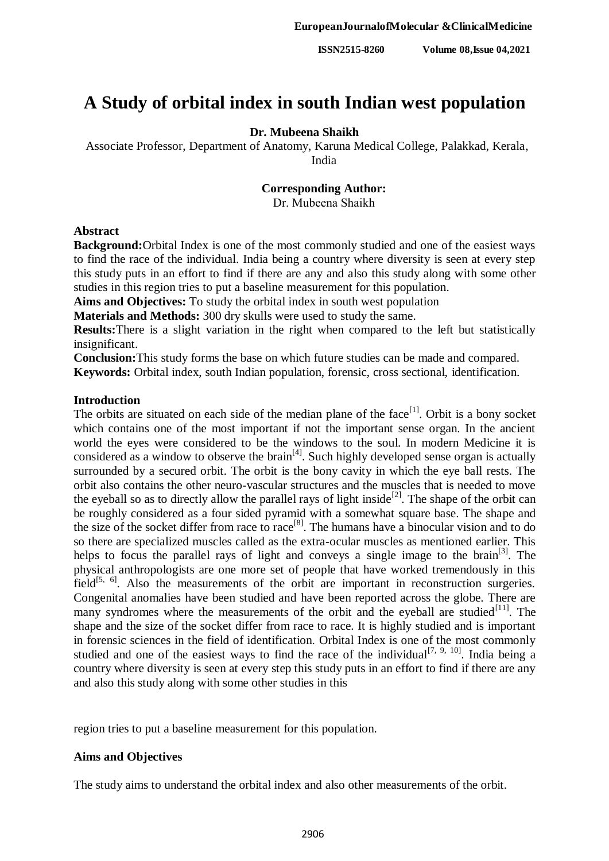# **A Study of orbital index in south Indian west population**

## **Dr. Mubeena Shaikh**

Associate Professor, Department of Anatomy, Karuna Medical College, Palakkad, Kerala, India

# **Corresponding Author:**

Dr. Mubeena Shaikh

#### **Abstract**

**Background:**Orbital Index is one of the most commonly studied and one of the easiest ways to find the race of the individual. India being a country where diversity is seen at every step this study puts in an effort to find if there are any and also this study along with some other studies in this region tries to put a baseline measurement for this population.

**Aims and Objectives:** To study the orbital index in south west population

**Materials and Methods:** 300 dry skulls were used to study the same.

**Results:**There is a slight variation in the right when compared to the left but statistically insignificant.

**Conclusion:**This study forms the base on which future studies can be made and compared.

**Keywords:** Orbital index, south Indian population, forensic, cross sectional, identification.

# **Introduction**

The orbits are situated on each side of the median plane of the face<sup>[1]</sup>. Orbit is a bony socket which contains one of the most important if not the important sense organ. In the ancient world the eyes were considered to be the windows to the soul. In modern Medicine it is considered as a window to observe the brain<sup>[4]</sup>. Such highly developed sense organ is actually surrounded by a secured orbit. The orbit is the bony cavity in which the eye ball rests. The orbit also contains the other neuro-vascular structures and the muscles that is needed to move the eyeball so as to directly allow the parallel rays of light inside<sup>[2]</sup>. The shape of the orbit can be roughly considered as a four sided pyramid with a somewhat square base. The shape and the size of the socket differ from race to race<sup>[8]</sup>. The humans have a binocular vision and to do so there are specialized muscles called as the extra-ocular muscles as mentioned earlier. This helps to focus the parallel rays of light and conveys a single image to the brain<sup>[3]</sup>. The physical anthropologists are one more set of people that have worked tremendously in this field $[5, 6]$ . Also the measurements of the orbit are important in reconstruction surgeries. Congenital anomalies have been studied and have been reported across the globe. There are many syndromes where the measurements of the orbit and the eyeball are studied $[11]$ . The shape and the size of the socket differ from race to race. It is highly studied and is important in forensic sciences in the field of identification. Orbital Index is one of the most commonly studied and one of the easiest ways to find the race of the individual<sup>[7, 9, 10]</sup>. India being a country where diversity is seen at every step this study puts in an effort to find if there are any and also this study along with some other studies in this

region tries to put a baseline measurement for this population.

## **Aims and Objectives**

The study aims to understand the orbital index and also other measurements of the orbit.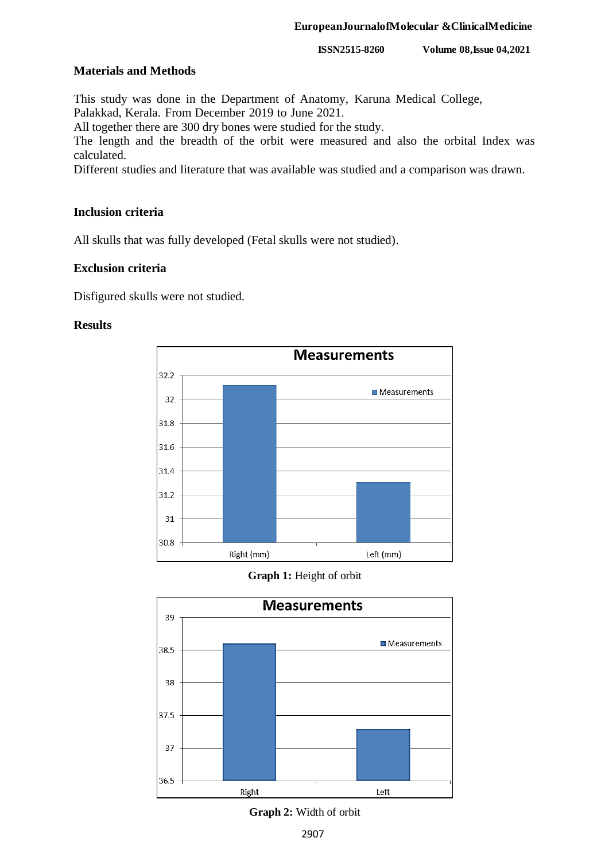**ISSN2515-8260 Volume 08,Issue 04,2021**

## **Materials and Methods**

This study was done in the Department of Anatomy, Karuna Medical College, Palakkad, Kerala. From December 2019 to June 2021.

All together there are 300 dry bones were studied for the study.

The length and the breadth of the orbit were measured and also the orbital Index was calculated.

Different studies and literature that was available was studied and a comparison was drawn.

# **Inclusion criteria**

All skulls that was fully developed (Fetal skulls were not studied).

# **Exclusion criteria**

Disfigured skulls were not studied.

## **Results**



## **Graph 1:** Height of orbit



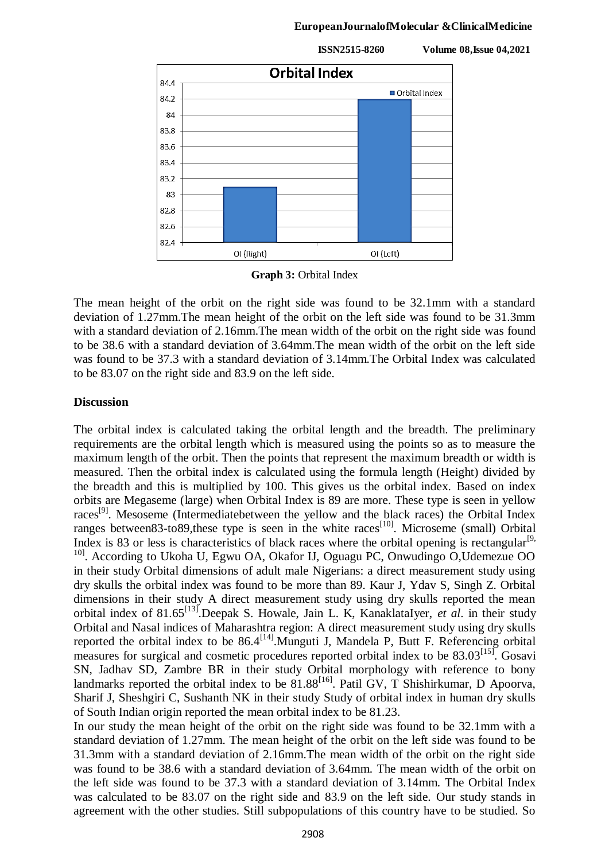#### **EuropeanJournalofMolecular &ClinicalMedicine**

**ISSN2515-8260 Volume 08,Issue 04,2021**



**Graph 3:** Orbital Index

The mean height of the orbit on the right side was found to be 32.1mm with a standard deviation of 1.27mm.The mean height of the orbit on the left side was found to be 31.3mm with a standard deviation of 2.16mm.The mean width of the orbit on the right side was found to be 38.6 with a standard deviation of 3.64mm.The mean width of the orbit on the left side was found to be 37.3 with a standard deviation of 3.14mm.The Orbital Index was calculated to be 83.07 on the right side and 83.9 on the left side.

## **Discussion**

The orbital index is calculated taking the orbital length and the breadth. The preliminary requirements are the orbital length which is measured using the points so as to measure the maximum length of the orbit. Then the points that represent the maximum breadth or width is measured. Then the orbital index is calculated using the formula length (Height) divided by the breadth and this is multiplied by 100. This gives us the orbital index. Based on index orbits are Megaseme (large) when Orbital Index is 89 are more. These type is seen in yellow races<sup>[9]</sup>. Mesoseme (Intermediatebetween the yellow and the black races) the Orbital Index ranges between83-to89, these type is seen in the white races<sup>[10]</sup>. Microseme (small) Orbital Index is 83 or less is characteristics of black races where the orbital opening is rectangular<sup>[9,</sup> <sup>10]</sup>. According to Ukoha U, Egwu OA, Okafor IJ, Oguagu PC, Onwudingo O,Udemezue OO in their study Orbital dimensions of adult male Nigerians: a direct measurement study using dry skulls the orbital index was found to be more than 89. Kaur J, Ydav S, Singh Z. Orbital dimensions in their study A direct measurement study using dry skulls reported the mean orbital index of 81.65<sup>[13]</sup>.Deepak S. Howale, Jain L. K, KanaklataIyer, *et al.* in their study Orbital and Nasal indices of Maharashtra region: A direct measurement study using dry skulls reported the orbital index to be  $86.4^{[14]}$ . Munguti J, Mandela P, Butt F. Referencing orbital measures for surgical and cosmetic procedures reported orbital index to be 83.03<sup>[15]</sup>. Gosavi SN, Jadhav SD, Zambre BR in their study Orbital morphology with reference to bony landmarks reported the orbital index to be  $81.88$ <sup>[16]</sup>. Patil GV, T Shishirkumar, D Apoorva, Sharif J, Sheshgiri C, Sushanth NK in their study Study of orbital index in human dry skulls of South Indian origin reported the mean orbital index to be 81.23.

In our study the mean height of the orbit on the right side was found to be 32.1mm with a standard deviation of 1.27mm. The mean height of the orbit on the left side was found to be 31.3mm with a standard deviation of 2.16mm.The mean width of the orbit on the right side was found to be 38.6 with a standard deviation of 3.64mm. The mean width of the orbit on the left side was found to be 37.3 with a standard deviation of 3.14mm. The Orbital Index was calculated to be 83.07 on the right side and 83.9 on the left side. Our study stands in agreement with the other studies. Still subpopulations of this country have to be studied. So